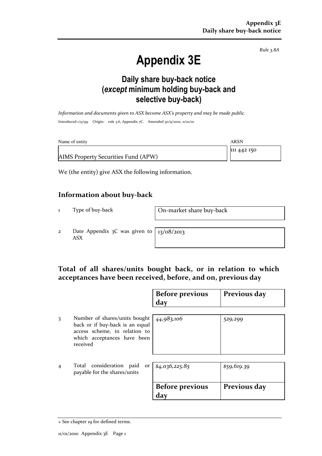Rule 3.8A

# Appendix 3E

### Daily share buy-back notice (except minimum holding buy-back and selective buy-back)

Information and documents given to ASX become ASX's property and may be made public. Introduced 1/9/99. Origin: rule 3.6, Appendix 7C. Amended 30/9/2001, 11/01/10

| Name of entity                      | ARSN        |
|-------------------------------------|-------------|
|                                     | 111 442 150 |
| AIMS Property Securities Fund (APW) |             |

We (the entity) give ASX the following information.

#### Information about buy-back

1 Type of buy-back On-market share buy-back

2 Date Appendix 3C was given to ASX

13/08/2013

#### Total of all shares/units bought back, or in relation to which acceptances have been received, before, and on, previous day

|                |                                                                                                                                              | <b>Before previous</b><br>day | Previous day |
|----------------|----------------------------------------------------------------------------------------------------------------------------------------------|-------------------------------|--------------|
| 3              | Number of shares/units bought<br>back or if buy-back is an equal<br>access scheme, in relation to<br>which acceptances have been<br>received | 44,983,106                    | 529,299      |
| $\overline{4}$ | Total consideration paid<br>payable for the shares/units                                                                                     | or $$4,036,225.85$            | \$59,619.39  |
|                |                                                                                                                                              | <b>Before previous</b><br>day | Previous day |

<sup>+</sup> See chapter 19 for defined terms.